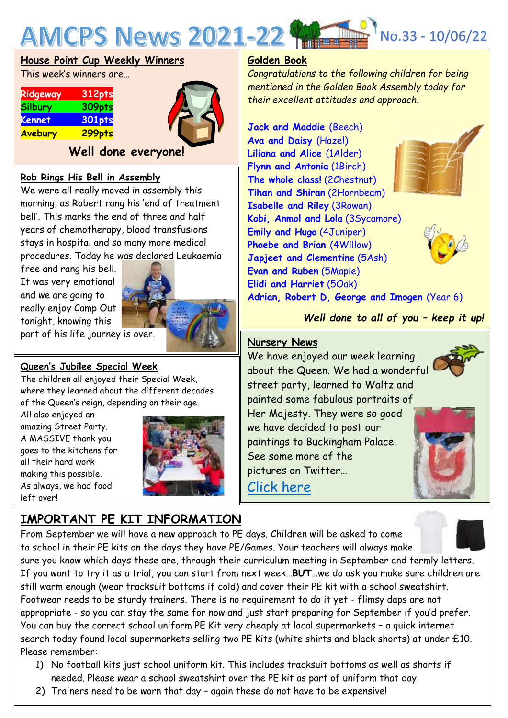

#### **House Point Cup Weekly Winners**

This week's winners are…

#### **Ridgeway 312pts Silbury 309pts Kennet 301pts Avebury 299pts**



#### **Well done everyone!**

#### **Rob Rings His Bell in Assembly**

We were all really moved in assembly this morning, as Robert rang his 'end of treatment bell'. This marks the end of three and half years of chemotherapy, blood transfusions stays in hospital and so many more medical procedures. Today he was declared Leukaemia

free and rang his bell. It was very emotional and we are going to really enjoy Camp Out tonight, knowing this



part of his life journey is over.

#### **Queen's Jubilee Special Week**

The children all enjoyed their Special Week, where they learned about the different decades of the Queen's reign, depending on their age.

All also enjoyed an amazing Street Party. A MASSIVE thank you goes to the kitchens for all their hard work making this possible. As always, we had food left over!



## **IMPORTANT PE KIT INFORMATION**

#### **Golden Book**

*Congratulations to the following children for being mentioned in the Golden Book Assembly today for their excellent attitudes and approach.*

**Jack and Maddie** (Beech) **Ava and Daisy** (Hazel) **Liliana and Alice** (1Alder) **Flynn and Antonia** (1Birch) **The whole class!** (2Chestnut) **Tihan and Shiran** (2Hornbeam) **Isabelle and Riley** (3Rowan) **Kobi, Anmol and Lola** (3Sycamore) **Emily and Hugo** (4Juniper) **Phoebe and Brian** (4Willow) **Japjeet and Clementine** (5Ash) **Evan and Ruben** (5Maple) **Elidi and Harriet** (5Oak) **Adrian, Robert D, George and Imogen** (Year 6)





*Well done to all of you – keep it up!*

#### **Nursery News**

 about the Queen. We had a wonderful We have enjoyed our week learning street party, learned to Waltz and painted some fabulous portraits of Her Majesty. They were so good we have decided to post our paintings to Buckingham Palace. See some more of the pictures on Twitter…





From September we will have a new approach to PE days. Children will be asked to come to school in their PE kits on the days they have PE/Games. Your teachers will always make sure you know which days these are, through their curriculum meeting in September and termly letters. If you want to try it as a trial, you can start from next week…**BUT**…we do ask you make sure children are still warm enough (wear tracksuit bottoms if cold) and cover their PE kit with a school sweatshirt. Footwear needs to be sturdy trainers. There is no requirement to do it yet - flimsy daps are not appropriate - so you can stay the same for now and just start preparing for September if you'd prefer. You can buy the correct school uniform PE Kit very cheaply at local supermarkets – a quick internet search today found local supermarkets selling two PE Kits (white shirts and black shorts) at under £10. Please remember:

- 1) No football kits just school uniform kit. This includes tracksuit bottoms as well as shorts if needed. Please wear a school sweatshirt over the PE kit as part of uniform that day.
- 2) Trainers need to be worn that day again these do not have to be expensive!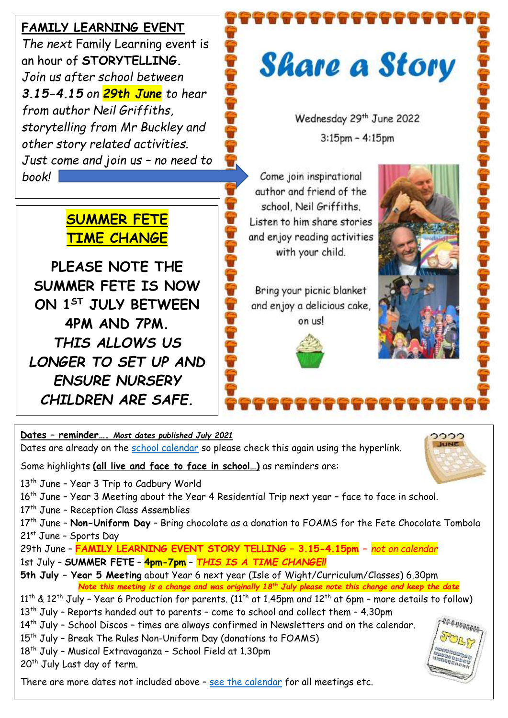### **FAMILY LEARNING EVENT**

The next Family Learning event is an hour of **STORYTELLING***. Join us after school between 3.15-4.15 on 29th June to hear from author Neil Griffiths, storytelling from Mr Buckley and other story related activities. Just come and join us – no need to book!*

# **Share a Story**

Wednesday 29th June 2022  $3:15$ pm -  $4:15$ pm

Come join inspirational author and friend of the school. Neil Griffiths. Listen to him share stories and enjoy reading activities with your child.

Bring your picnic blanket and enjoy a delicious cake, on us!





## **SUMMER FETE TIME CHANGE**

**PLEASE NOTE THE SUMMER FETE IS NOW ON 1ST JULY BETWEEN 4PM AND 7PM.** *THIS ALLOWS US LONGER TO SET UP AND ENSURE NURSERY CHILDREN ARE SAFE.*

**Dates – reminder….** *Most dates published July 2021* Dates are already on the [school calendar](https://www.abbeymeads.swindon.sch.uk/_files/ugd/64c1c7_0e176d3798b141f2a49e24144210a91d.pdf) so please check this again using the hyperlink.

Some highlights **(all live and face to face in school…)** as reminders are:

13<sup>th</sup> June - Year 3 Trip to Cadbury World

16<sup>th</sup> June - Year 3 Meeting about the Year 4 Residential Trip next year - face to face in school.

17<sup>th</sup> June - Reception Class Assemblies

17th June – **Non-Uniform Day** – Bring chocolate as a donation to FOAMS for the Fete Chocolate Tombola 21st June – Sports Day

29th June – **FAMILY LEARNING EVENT STORY TELLING – 3.15-4.15pm –** *not on calendar* 1st July – **SUMMER FETE** – **4pm-7pm** – *THIS IS A TIME CHANGE!!*

**5th July – Year 5 Meeting** about Year 6 next year (Isle of Wight/Curriculum/Classes) 6.30pm  *Note this meeting is a change and was originally 18th July please note this change and keep the date*

11<sup>th</sup> & 12<sup>th</sup> July - Year 6 Production for parents. (11<sup>th</sup> at 1.45pm and 12<sup>th</sup> at 6pm - more details to follow) 13<sup>th</sup> July - Reports handed out to parents - come to school and collect them - 4.30pm

14<sup>th</sup> July - School Discos - times are always confirmed in Newsletters and on the calendar.

15<sup>th</sup> July - Break The Rules Non-Uniform Day (donations to FOAMS)

18<sup>th</sup> July - Musical Extravaganza - School Field at 1.30pm

20<sup>th</sup> July Last day of term.

There are more dates not included above – [see the calendar](https://www.abbeymeads.swindon.sch.uk/_files/ugd/64c1c7_0e176d3798b141f2a49e24144210a91d.pdf) for all meetings etc.